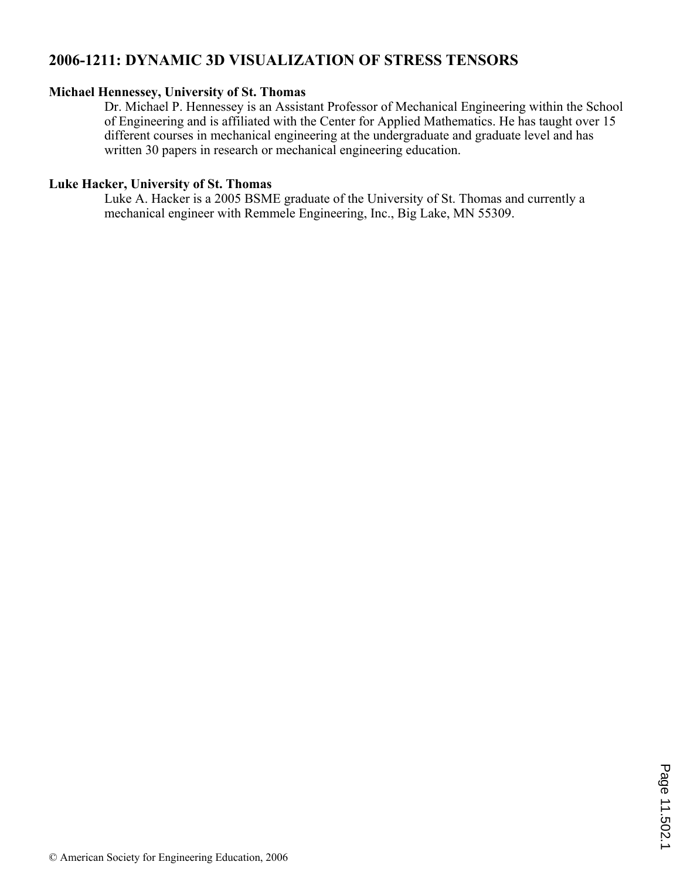# **2006-1211: DYNAMIC 3D VISUALIZATION OF STRESS TENSORS**

### **Michael Hennessey, University of St. Thomas**

Dr. Michael P. Hennessey is an Assistant Professor of Mechanical Engineering within the School of Engineering and is affiliated with the Center for Applied Mathematics. He has taught over 15 different courses in mechanical engineering at the undergraduate and graduate level and has written 30 papers in research or mechanical engineering education.

### **Luke Hacker, University of St. Thomas**

Luke A. Hacker is a 2005 BSME graduate of the University of St. Thomas and currently a mechanical engineer with Remmele Engineering, Inc., Big Lake, MN 55309.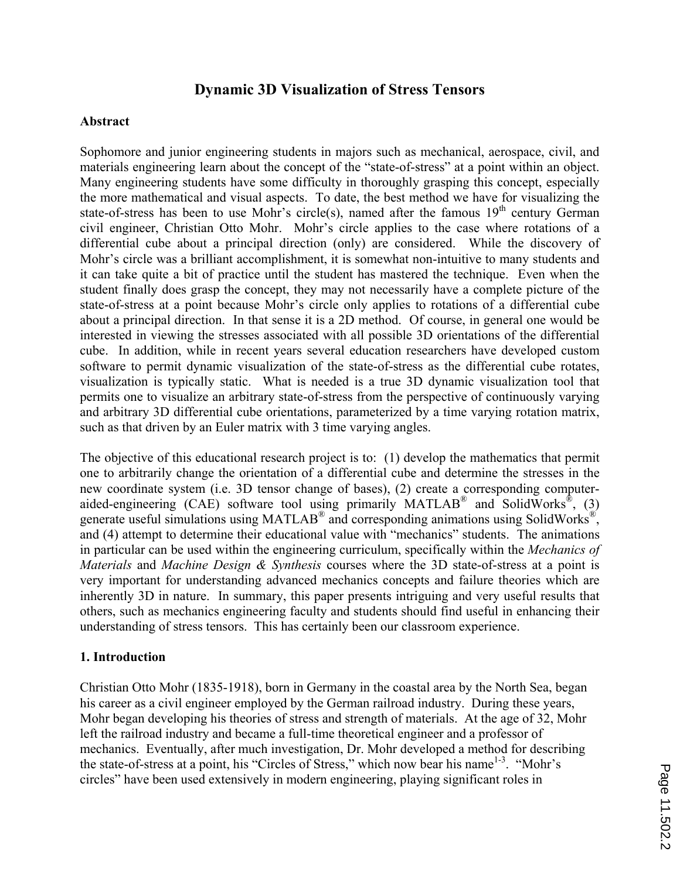## **Dynamic 3D Visualization of Stress Tensors**

#### **Abstract**

Sophomore and junior engineering students in majors such as mechanical, aerospace, civil, and materials engineering learn about the concept of the "state-of-stress" at a point within an object. Many engineering students have some difficulty in thoroughly grasping this concept, especially the more mathematical and visual aspects. To date, the best method we have for visualizing the state-of-stress has been to use Mohr's circle(s), named after the famous  $19<sup>th</sup>$  century German civil engineer, Christian Otto Mohr. Mohr's circle applies to the case where rotations of a differential cube about a principal direction (only) are considered. While the discovery of Mohr's circle was a brilliant accomplishment, it is somewhat non-intuitive to many students and it can take quite a bit of practice until the student has mastered the technique. Even when the student finally does grasp the concept, they may not necessarily have a complete picture of the state-of-stress at a point because Mohr's circle only applies to rotations of a differential cube about a principal direction. In that sense it is a 2D method. Of course, in general one would be interested in viewing the stresses associated with all possible 3D orientations of the differential cube. In addition, while in recent years several education researchers have developed custom software to permit dynamic visualization of the state-of-stress as the differential cube rotates, visualization is typically static. What is needed is a true 3D dynamic visualization tool that permits one to visualize an arbitrary state-of-stress from the perspective of continuously varying and arbitrary 3D differential cube orientations, parameterized by a time varying rotation matrix, such as that driven by an Euler matrix with 3 time varying angles.

The objective of this educational research project is to: (1) develop the mathematics that permit one to arbitrarily change the orientation of a differential cube and determine the stresses in the new coordinate system (i.e. 3D tensor change of bases), (2) create a corresponding computeraided-engineering (CAE) software tool using primarily MATLAB<sup>®</sup> and SolidWorks<sup>®</sup>, (3) generate useful simulations using MATLAB<sup>®</sup> and corresponding animations using SolidWorks<sup>®</sup>, and (4) attempt to determine their educational value with "mechanics" students. The animations in particular can be used within the engineering curriculum, specifically within the *Mechanics of Materials* and *Machine Design & Synthesis* courses where the 3D state-of-stress at a point is very important for understanding advanced mechanics concepts and failure theories which are inherently 3D in nature. In summary, this paper presents intriguing and very useful results that others, such as mechanics engineering faculty and students should find useful in enhancing their understanding of stress tensors. This has certainly been our classroom experience.

### **1. Introduction**

Christian Otto Mohr (1835-1918), born in Germany in the coastal area by the North Sea, began his career as a civil engineer employed by the German railroad industry. During these years, Mohr began developing his theories of stress and strength of materials. At the age of 32, Mohr left the railroad industry and became a full-time theoretical engineer and a professor of mechanics. Eventually, after much investigation, Dr. Mohr developed a method for describing the state-of-stress at a point, his "Circles of Stress," which now bear his name<sup>1-3</sup>. "Mohr's circles" have been used extensively in modern engineering, playing significant roles in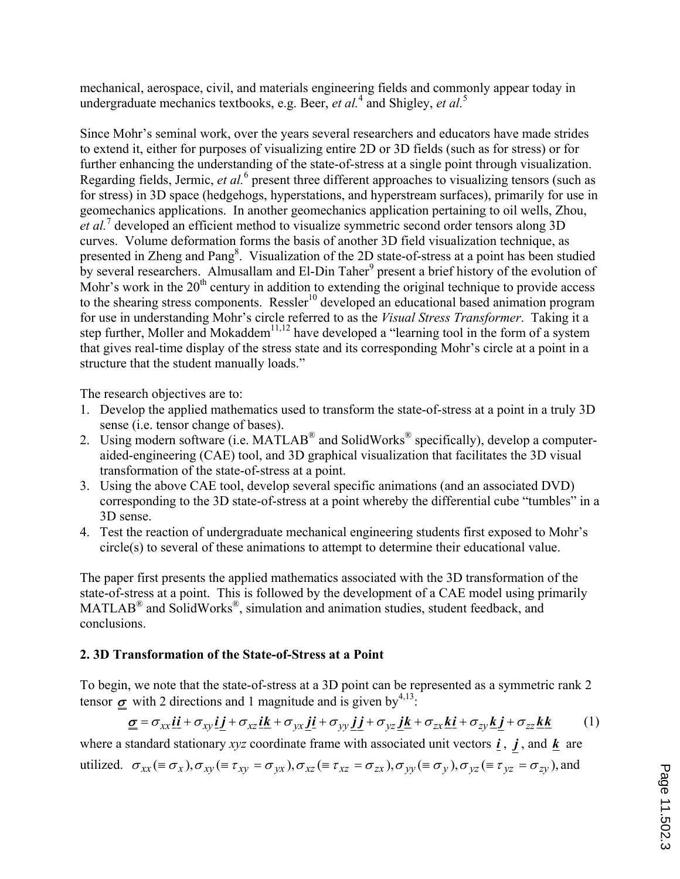mechanical, aerospace, civil, and materials engineering fields and commonly appear today in undergraduate mechanics textbooks, e.g. Beer, *et al.*<sup>4</sup> and Shigley, *et al.*<sup>5</sup>

Since Mohr's seminal work, over the years several researchers and educators have made strides to extend it, either for purposes of visualizing entire 2D or 3D fields (such as for stress) or for further enhancing the understanding of the state-of-stress at a single point through visualization. Regarding fields, Jermic, et al.<sup>6</sup> present three different approaches to visualizing tensors (such as for stress) in 3D space (hedgehogs, hyperstations, and hyperstream surfaces), primarily for use in geomechanics applications. In another geomechanics application pertaining to oil wells, Zhou, et al.<sup>7</sup> developed an efficient method to visualize symmetric second order tensors along 3D curves. Volume deformation forms the basis of another 3D field visualization technique, as presented in Zheng and Pang<sup>8</sup>. Visualization of the 2D state-of-stress at a point has been studied by several researchers. Almusallam and El-Din Taher<sup>9</sup> present a brief history of the evolution of Mohr's work in the  $20<sup>th</sup>$  century in addition to extending the original technique to provide access to the shearing stress components. Ressler<sup>10</sup> developed an educational based animation program for use in understanding Mohr's circle referred to as the *Visual Stress Transformer*. Taking it a step further, Moller and Mokaddem<sup>11,12</sup> have developed a "learning tool in the form of a system that gives real-time display of the stress state and its corresponding Mohr's circle at a point in a structure that the student manually loads."

The research objectives are to:

- 1. Develop the applied mathematics used to transform the state-of-stress at a point in a truly 3D sense (i.e. tensor change of bases).
- 2. Using modern software (i.e. MATLAB<sup>®</sup> and SolidWorks<sup>®</sup> specifically), develop a computeraided-engineering (CAE) tool, and 3D graphical visualization that facilitates the 3D visual transformation of the state-of-stress at a point.
- 3. Using the above CAE tool, develop several specific animations (and an associated DVD) corresponding to the 3D state-of-stress at a point whereby the differential cube "tumbles" in a 3D sense.
- 4. Test the reaction of undergraduate mechanical engineering students first exposed to Mohr's circle(s) to several of these animations to attempt to determine their educational value.

The paper first presents the applied mathematics associated with the 3D transformation of the state-of-stress at a point. This is followed by the development of a CAE model using primarily MATLAB<sup>®</sup> and SolidWorks<sup>®</sup>, simulation and animation studies, student feedback, and conclusions.

## **2. 3D Transformation of the State-of-Stress at a Point**

To begin, we note that the state-of-stress at a 3D point can be represented as a symmetric rank 2 tensor  $\sigma$  with 2 directions and 1 magnitude and is given by<sup>4,13</sup>:

$$
\underline{\underline{\sigma}} = \sigma_{xx}\underline{\boldsymbol{i}}\underline{\boldsymbol{i}} + \sigma_{xy}\underline{\boldsymbol{i}}\underline{\boldsymbol{j}} + \sigma_{xz}\underline{\boldsymbol{i}}\underline{\boldsymbol{k}} + \sigma_{yx}\underline{\boldsymbol{j}}\underline{\boldsymbol{i}} + \sigma_{yy}\underline{\boldsymbol{j}}\underline{\boldsymbol{j}} + \sigma_{yz}\underline{\boldsymbol{j}}\underline{\boldsymbol{k}} + \sigma_{zx}\underline{\boldsymbol{k}}\underline{\boldsymbol{i}} + \sigma_{zy}\underline{\boldsymbol{k}}\underline{\boldsymbol{j}} + \sigma_{zz}\underline{\boldsymbol{k}}\underline{\boldsymbol{k}} \tag{1}
$$

where a standard stationary *xyz* coordinate frame with associated unit vectors  $\vec{i}$ ,  $\vec{j}$ , and  $\vec{k}$  are

utilized.  $\sigma_{xx} (\equiv \sigma_x)$ ,  $\sigma_{xy} (\equiv \tau_{xy} = \sigma_{yx})$ ,  $\sigma_{xz} (\equiv \tau_{xz} = \sigma_{zx})$ ,  $\sigma_{yy} (\equiv \sigma_y)$ ,  $\sigma_{yz} (\equiv \tau_{yz} = \sigma_{zy})$ , and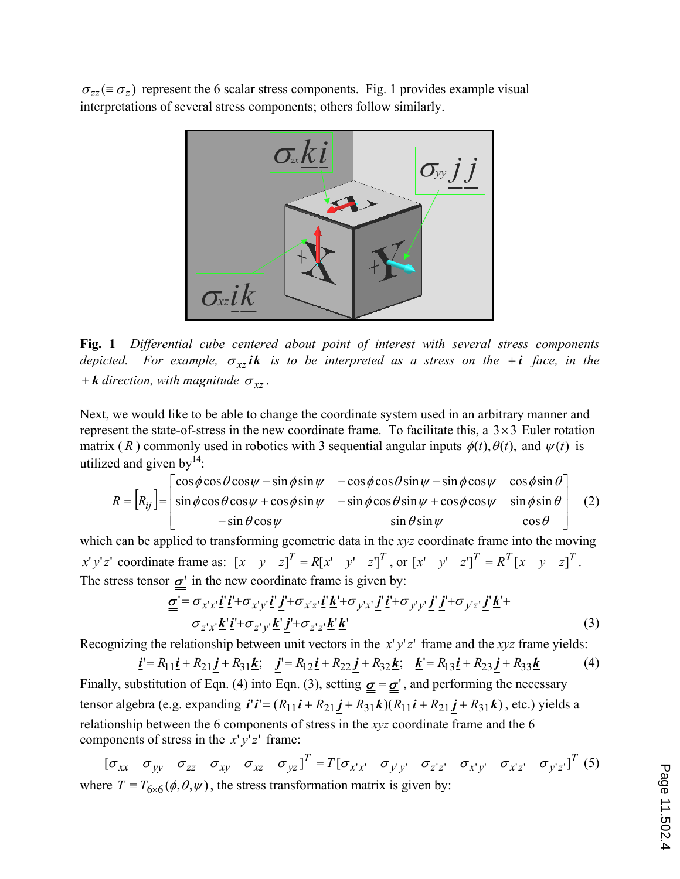$\sigma_{zz}$  ( $\equiv \sigma_z$ ) represent the 6 scalar stress components. Fig. 1 provides example visual interpretations of several stress components; others follow similarly.



**Fig. 1** *Differential cube centered about point of interest with several stress components depicted. For example,*  $\sigma_{xz}$  *ik is to be interpreted as a stress on the* + *i face, in the*  $+ \underline{k}$  *direction, with magnitude*  $\sigma_{xz}$ .

Next, we would like to be able to change the coordinate system used in an arbitrary manner and represent the state-of-stress in the new coordinate frame. To facilitate this, a  $3 \times 3$  Euler rotation matrix (*R*) commonly used in robotics with 3 sequential angular inputs  $\phi(t)$ ,  $\theta(t)$ , and  $\psi(t)$  is utilized and given by $14$ :

$$
R = [R_{ij}] = \begin{bmatrix} \cos\phi\cos\theta\cos\psi - \sin\phi\sin\psi & -\cos\phi\cos\theta\sin\psi - \sin\phi\cos\psi & \cos\phi\sin\theta \\ \sin\phi\cos\theta\cos\psi + \cos\phi\sin\psi & -\sin\phi\cos\theta\sin\psi + \cos\phi\cos\psi & \sin\phi\sin\theta \\ -\sin\theta\cos\psi & \sin\theta\sin\psi & \cos\theta \end{bmatrix}
$$
 (2)

which can be applied to transforming geometric data in the *xyz* coordinate frame into the moving x'y'z' coordinate frame as:  $[x \ y \ z]^T = R[x' \ y' \ z']^T$ , or  $[x' \ y' \ z']^T = R^T[x \ y \ z]^T$ . The stress tensor  $\sigma'$  in the new coordinate frame is given by:

$$
\underline{\underline{\sigma}}' = \sigma_{x'x'} \underline{i'} \underline{i'} + \sigma_{x'y'} \underline{i'} \underline{j'} + \sigma_{x'z'} \underline{i'} \underline{k'} + \sigma_{y'x'} \underline{j'} \underline{i'} + \sigma_{y'y'} \underline{j'} \underline{j'} + \sigma_{y'z'} \underline{j'} \underline{k'} +
$$
  

$$
\sigma_{z'x'} \underline{k'} \underline{i'} + \sigma_{z'y'} \underline{k'} \underline{j'} + \sigma_{z'z'} \underline{k'} \underline{k'}
$$
 (3)

Recognizing the relationship between unit vectors in the  $x'y'z'$  frame and the  $xyz$  frame yields:

$$
\underline{\mathbf{i}} = R_{11}\underline{\mathbf{i}} + R_{21}\underline{\mathbf{j}} + R_{31}\underline{\mathbf{k}}; \quad \underline{\mathbf{j}} = R_{12}\underline{\mathbf{i}} + R_{22}\underline{\mathbf{j}} + R_{32}\underline{\mathbf{k}}; \quad \underline{\mathbf{k}} = R_{13}\underline{\mathbf{i}} + R_{23}\underline{\mathbf{j}} + R_{33}\underline{\mathbf{k}} \tag{4}
$$
\nFinally, substitution of Eqn. (4) into Eqn. (3), setting  $\underline{\underline{\sigma}} = \underline{\underline{\sigma}}'$ , and performing the necessary tensor algebra (e.g. expanding  $\underline{\mathbf{i}}' \underline{\mathbf{i}}' = (R_{11}\underline{\mathbf{i}} + R_{21}\underline{\mathbf{j}} + R_{31}\underline{\mathbf{k}})(R_{11}\underline{\mathbf{i}} + R_{21}\underline{\mathbf{j}} + R_{31}\underline{\mathbf{k}})$ , etc.) yields a relationship between the 6 components of stress in the *xyz* coordinate frame and the 6

components of stress in the  $x' y' z'$  frame:

$$
[\sigma_{xx} \quad \sigma_{yy} \quad \sigma_{zz} \quad \sigma_{xy} \quad \sigma_{xz} \quad \sigma_{yz}]^{T} = T[\sigma_{x'x'} \quad \sigma_{y'y'} \quad \sigma_{z'z'} \quad \sigma_{x'y'} \quad \sigma_{x'z'} \quad \sigma_{y'z'}]^{T} \tag{5}
$$
  
where  $T \equiv T_{6\times6}(\phi, \theta, \psi)$ , the stress transformation matrix is given by: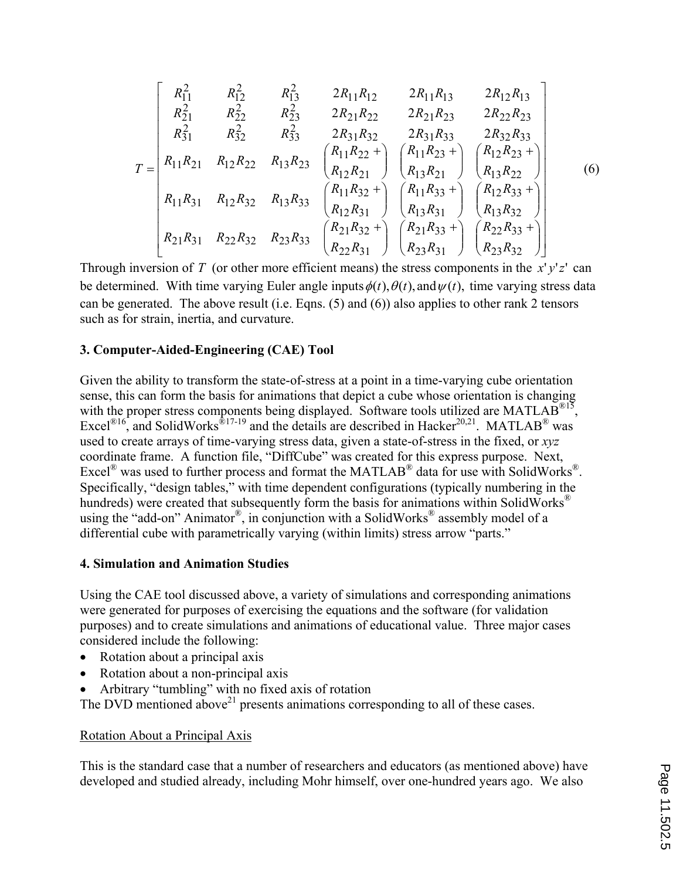$$
T = \begin{bmatrix} R_{11}^2 & R_{12}^2 & R_{13}^2 & 2R_{11}R_{12} & 2R_{11}R_{13} & 2R_{12}R_{13} \\ R_{21}^2 & R_{22}^2 & R_{23}^2 & 2R_{21}R_{22} & 2R_{21}R_{23} & 2R_{22}R_{23} \\ R_{31}^2 & R_{32}^2 & R_{33}^2 & 2R_{31}R_{32} & 2R_{31}R_{33} & 2R_{32}R_{33} \\ R_{11}R_{21} & R_{12}R_{22} & R_{13}R_{23} & \begin{pmatrix} R_{11}R_{22} + \\ R_{12}R_{21} \end{pmatrix} & \begin{pmatrix} R_{11}R_{23} + \\ R_{13}R_{21} \end{pmatrix} & \begin{pmatrix} R_{12}R_{23} + \\ R_{13}R_{22} \end{pmatrix} \\ R_{11}R_{31} & R_{12}R_{32} & R_{13}R_{33} & \begin{pmatrix} R_{11}R_{32} + \\ R_{12}R_{31} \end{pmatrix} & \begin{pmatrix} R_{11}R_{33} + \\ R_{13}R_{31} \end{pmatrix} & \begin{pmatrix} R_{12}R_{33} + \\ R_{13}R_{32} \end{pmatrix} \\ R_{21}R_{31} & R_{22}R_{32} & R_{23}R_{33} & \begin{pmatrix} R_{21}R_{32} + \\ R_{21}R_{32} + \\ R_{22}R_{31} \end{pmatrix} & \begin{pmatrix} R_{21}R_{33} + \\ R_{23}R_{31} \end{pmatrix} & \begin{pmatrix} R_{22}R_{33} + \\ R_{23}R_{32} \end{pmatrix} \\ R_{23}R_{32} \end{bmatrix}
$$

Through inversion of *T* (or other more efficient means) the stress components in the  $x' y' z'$  can be determined. With time varying Euler angle inputs  $\phi(t)$ ,  $\theta(t)$ , and  $\psi(t)$ , time varying stress data can be generated. The above result (i.e. Eqns. (5) and (6)) also applies to other rank 2 tensors such as for strain, inertia, and curvature.

#### **3. Computer-Aided-Engineering (CAE) Tool**

Given the ability to transform the state-of-stress at a point in a time-varying cube orientation sense, this can form the basis for animations that depict a cube whose orientation is changing with the proper stress components being displayed. Software tools utilized are MATLAB<sup>®15</sup>, Excel<sup>®16</sup>, and SolidWorks<sup>®17-19</sup> and the details are described in Hacker<sup>20,21</sup>. MATLAB<sup>®</sup> was used to create arrays of time-varying stress data, given a state-of-stress in the fixed, or *xyz* coordinate frame. A function file, "DiffCube" was created for this express purpose. Next, Excel<sup>®</sup> was used to further process and format the MATLAB<sup>®</sup> data for use with SolidWorks<sup>®</sup>. Specifically, "design tables," with time dependent configurations (typically numbering in the hundreds) were created that subsequently form the basis for animations within SolidWorks<sup>®</sup> using the "add-on" Animator®, in conjunction with a SolidWorks® assembly model of a differential cube with parametrically varying (within limits) stress arrow "parts."

#### **4. Simulation and Animation Studies**

Using the CAE tool discussed above, a variety of simulations and corresponding animations were generated for purposes of exercising the equations and the software (for validation purposes) and to create simulations and animations of educational value. Three major cases considered include the following:

- ' Rotation about a principal axis
- ' Rotation about a non-principal axis
- ' Arbitrary "tumbling" with no fixed axis of rotation

The DVD mentioned above<sup>21</sup> presents animations corresponding to all of these cases.

### Rotation About a Principal Axis

This is the standard case that a number of researchers and educators (as mentioned above) have developed and studied already, including Mohr himself, over one-hundred years ago. We also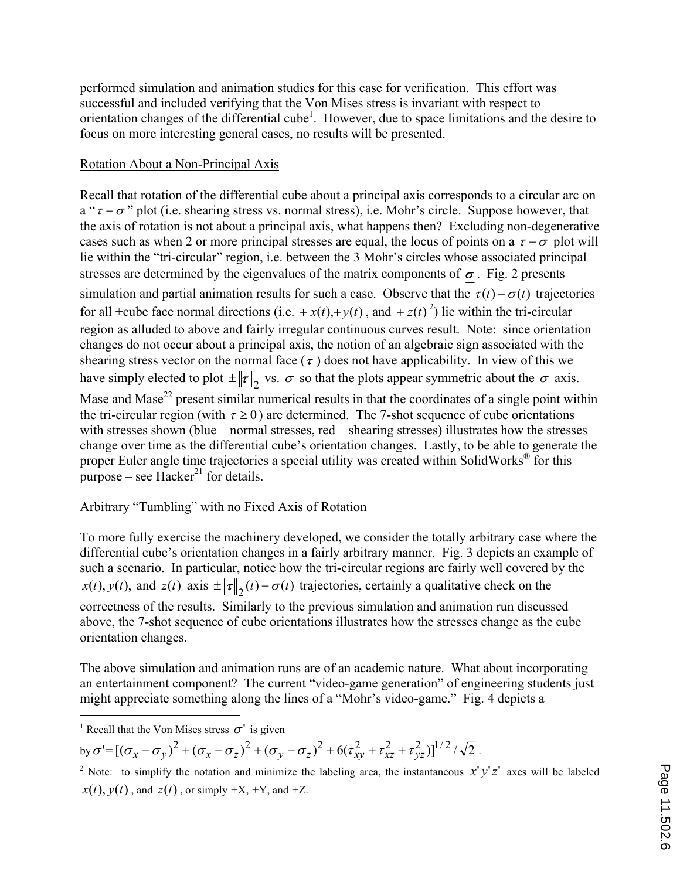performed simulation and animation studies for this case for verification. This effort was successful and included verifying that the Von Mises stress is invariant with respect to orientation changes of the differential cube<sup>1</sup>. However, due to space limitations and the desire to focus on more interesting general cases, no results will be presented.

## Rotation About a Non-Principal Axis

Recall that rotation of the differential cube about a principal axis corresponds to a circular arc on a " $\tau - \sigma$ " plot (i.e. shearing stress vs. normal stress), i.e. Mohr's circle. Suppose however, that the axis of rotation is not about a principal axis, what happens then? Excluding non-degenerative cases such as when 2 or more principal stresses are equal, the locus of points on a  $\tau - \sigma$  plot will lie within the "tri-circular" region, i.e. between the 3 Mohr's circles whose associated principal stresses are determined by the eigenvalues of the matrix components of  $\sigma$ . Fig. 2 presents simulation and partial animation results for such a case. Observe that the  $\tau(t) - \sigma(t)$  trajectories for all +cube face normal directions (i.e.  $+x(t)$ ,+y(*t*), and +z(*t*)<sup>2</sup>) lie within the tri-circular region as alluded to above and fairly irregular continuous curves result. Note: since orientation changes do not occur about a principal axis, the notion of an algebraic sign associated with the shearing stress vector on the normal face  $(\tau)$  does not have applicability. In view of this we have simply elected to plot  $\pm \|\tau\|_2$  vs.  $\sigma$  so that the plots appear symmetric about the  $\sigma$  axis. Mase and Mase<sup>22</sup> present similar numerical results in that the coordinates of a single point within the tri-circular region (with  $\tau \ge 0$ ) are determined. The 7-shot sequence of cube orientations with stresses shown (blue – normal stresses, red – shearing stresses) illustrates how the stresses change over time as the differential cube's orientation changes. Lastly, to be able to generate the proper Euler angle time trajectories a special utility was created within SolidWorks<sup>®</sup> for this purpose – see Hacker<sup>21</sup> for details.

## Arbitrary "Tumbling" with no Fixed Axis of Rotation

To more fully exercise the machinery developed, we consider the totally arbitrary case where the differential cube's orientation changes in a fairly arbitrary manner. Fig. 3 depicts an example of such a scenario. In particular, notice how the tri-circular regions are fairly well covered by the  $x(t)$ ,  $y(t)$ , and  $z(t)$  axis  $\pm \|\tau\|_2(t) - \sigma(t)$  trajectories, certainly a qualitative check on the correctness of the results. Similarly to the previous simulation and animation run discussed above, the 7-shot sequence of cube orientations illustrates how the stresses change as the cube orientation changes.

The above simulation and animation runs are of an academic nature. What about incorporating an entertainment component? The current "video-game generation" of engineering students just might appreciate something along the lines of a "Mohr's video-game." Fig. 4 depicts a

 $\overline{a}$ 

by  $\sigma' = [(\sigma_x - \sigma_y)^2 + (\sigma_x - \sigma_z)^2 + (\sigma_y - \sigma_z)^2 + 6(\tau_{xy}^2 + \tau_{xz}^2 + \tau_{yz}^2)]^{1/2}/\sqrt{2}$ .

<sup>&</sup>lt;sup>1</sup> Recall that the Von Mises stress  $\sigma'$  is given

<sup>&</sup>lt;sup>2</sup> Note: to simplify the notation and minimize the labeling area, the instantaneous  $x'y'z'$  axes will be labeled  $x(t)$ ,  $y(t)$ , and  $z(t)$ , or simply  $+X$ ,  $+Y$ , and  $+Z$ .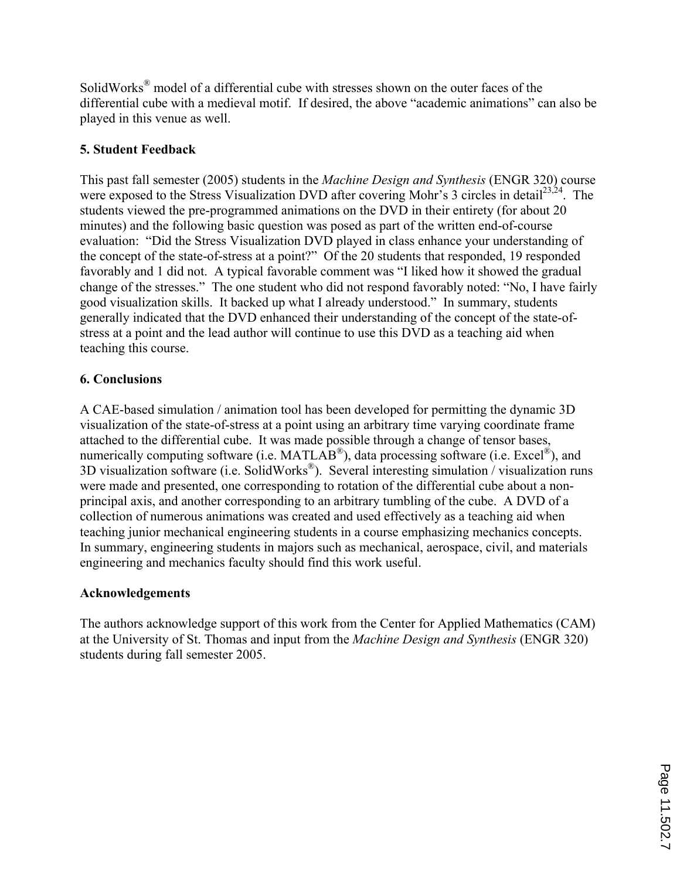SolidWorks<sup>®</sup> model of a differential cube with stresses shown on the outer faces of the differential cube with a medieval motif. If desired, the above "academic animations" can also be played in this venue as well.

## **5. Student Feedback**

This past fall semester (2005) students in the *Machine Design and Synthesis* (ENGR 320) course were exposed to the Stress Visualization DVD after covering Mohr's 3 circles in detail<sup>23,24</sup>. The students viewed the pre-programmed animations on the DVD in their entirety (for about 20 minutes) and the following basic question was posed as part of the written end-of-course evaluation: "Did the Stress Visualization DVD played in class enhance your understanding of the concept of the state-of-stress at a point?" Of the 20 students that responded, 19 responded favorably and 1 did not. A typical favorable comment was "I liked how it showed the gradual change of the stresses." The one student who did not respond favorably noted: "No, I have fairly good visualization skills. It backed up what I already understood." In summary, students generally indicated that the DVD enhanced their understanding of the concept of the state-ofstress at a point and the lead author will continue to use this DVD as a teaching aid when teaching this course.

## **6. Conclusions**

A CAE-based simulation / animation tool has been developed for permitting the dynamic 3D visualization of the state-of-stress at a point using an arbitrary time varying coordinate frame attached to the differential cube. It was made possible through a change of tensor bases, numerically computing software (i.e. MATLAB<sup>®</sup>), data processing software (i.e. Excel<sup>®</sup>), and 3D visualization software (i.e. SolidWorks® ). Several interesting simulation / visualization runs were made and presented, one corresponding to rotation of the differential cube about a nonprincipal axis, and another corresponding to an arbitrary tumbling of the cube. A DVD of a collection of numerous animations was created and used effectively as a teaching aid when teaching junior mechanical engineering students in a course emphasizing mechanics concepts. In summary, engineering students in majors such as mechanical, aerospace, civil, and materials engineering and mechanics faculty should find this work useful.

## **Acknowledgements**

The authors acknowledge support of this work from the Center for Applied Mathematics (CAM) at the University of St. Thomas and input from the *Machine Design and Synthesis* (ENGR 320) students during fall semester 2005.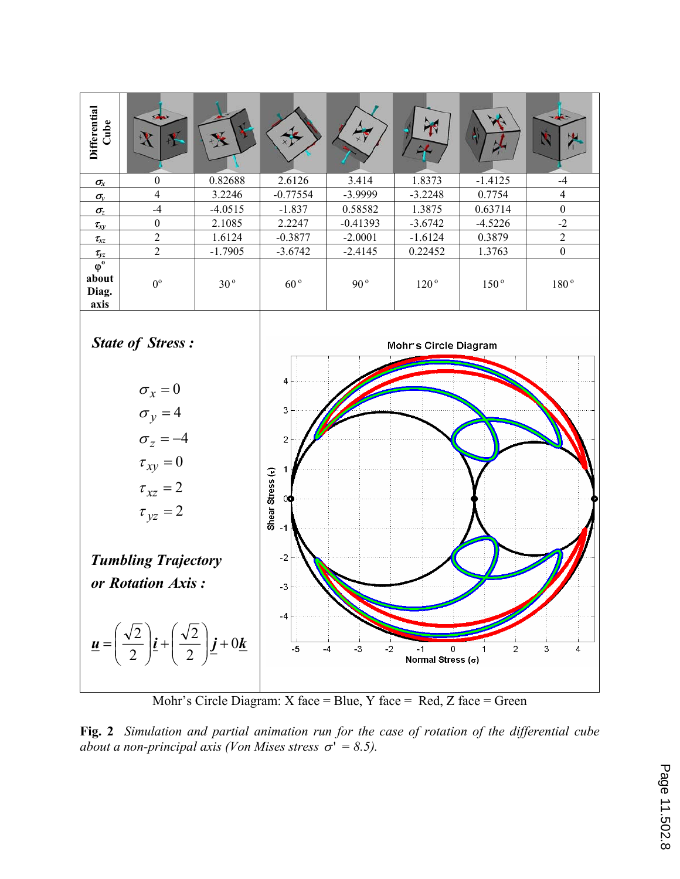

Mohr's Circle Diagram: X face = Blue, Y face = Red, Z face = Green

**Fig. 2** *Simulation and partial animation run for the case of rotation of the differential cube about a non-principal axis (Von Mises stress*  $\sigma' = 8.5$ ).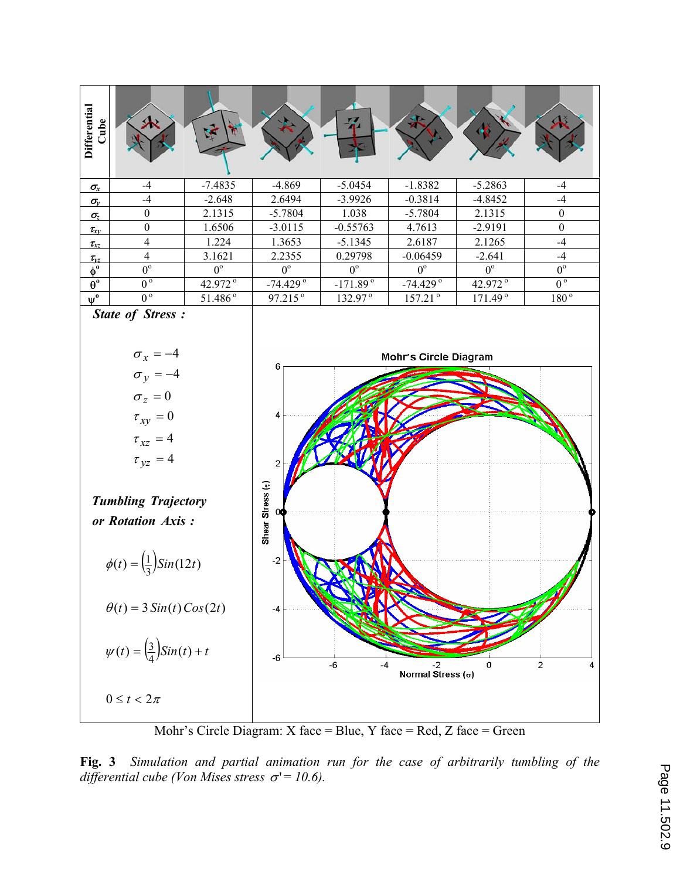

Mohr's Circle Diagram: X face = Blue, Y face = Red, Z face = Green

**Fig. 3** *Simulation and partial animation run for the case of arbitrarily tumbling of the*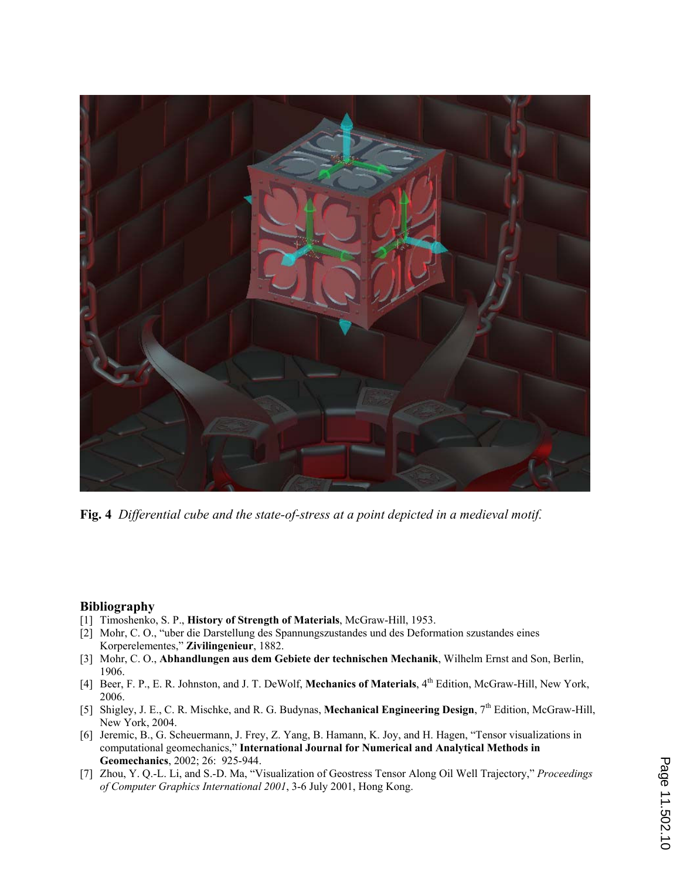

**Fig. 4** *Differential cube and the state-of-stress at a point depicted in a medieval motif.*

#### **Bibliography**

- [1] Timoshenko, S. P., **History of Strength of Materials**, McGraw-Hill, 1953.
- [2] Mohr, C. O., "uber die Darstellung des Spannungszustandes und des Deformation szustandes eines Korperelementes," **Zivilingenieur**, 1882.
- [3] Mohr, C. O., **Abhandlungen aus dem Gebiete der technischen Mechanik**, Wilhelm Ernst and Son, Berlin, 1906.
- [4] Beer, F. P., E. R. Johnston, and J. T. DeWolf, **Mechanics of Materials**, 4th Edition, McGraw-Hill, New York, 2006.
- [5] Shigley, J. E., C. R. Mischke, and R. G. Budynas, **Mechanical Engineering Design**, 7th Edition, McGraw-Hill, New York, 2004.
- [6] Jeremic, B., G. Scheuermann, J. Frey, Z. Yang, B. Hamann, K. Joy, and H. Hagen, "Tensor visualizations in computational geomechanics," **International Journal for Numerical and Analytical Methods in Geomechanics**, 2002; 26: 925-944.
- [7] Zhou, Y. Q.-L. Li, and S.-D. Ma, "Visualization of Geostress Tensor Along Oil Well Trajectory," *Proceedings of Computer Graphics International 2001*, 3-6 July 2001, Hong Kong.